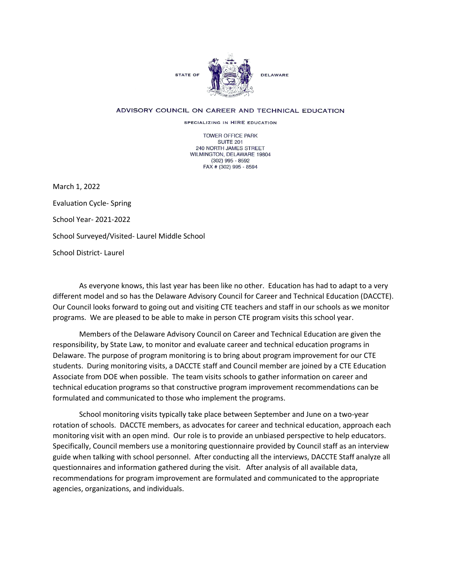

## ADVISORY COUNCIL ON CAREER AND TECHNICAL EDUCATION

SPECIALIZING IN HIRE EDUCATION

TOWER OFFICE PARK SUITE 201 240 NORTH JAMES STREET WILMINGTON, DELAWARE 19804 (302) 995 - 8592 FAX # (302) 995 - 8594

March 1, 2022 Evaluation Cycle- Spring School Year- 2021-2022 School Surveyed/Visited- Laurel Middle School School District- Laurel

As everyone knows, this last year has been like no other. Education has had to adapt to a very different model and so has the Delaware Advisory Council for Career and Technical Education (DACCTE). Our Council looks forward to going out and visiting CTE teachers and staff in our schools as we monitor programs. We are pleased to be able to make in person CTE program visits this school year.

Members of the Delaware Advisory Council on Career and Technical Education are given the responsibility, by State Law, to monitor and evaluate career and technical education programs in Delaware. The purpose of program monitoring is to bring about program improvement for our CTE students. During monitoring visits, a DACCTE staff and Council member are joined by a CTE Education Associate from DOE when possible. The team visits schools to gather information on career and technical education programs so that constructive program improvement recommendations can be formulated and communicated to those who implement the programs.

School monitoring visits typically take place between September and June on a two-year rotation of schools. DACCTE members, as advocates for career and technical education, approach each monitoring visit with an open mind. Our role is to provide an unbiased perspective to help educators. Specifically, Council members use a monitoring questionnaire provided by Council staff as an interview guide when talking with school personnel. After conducting all the interviews, DACCTE Staff analyze all questionnaires and information gathered during the visit. After analysis of all available data, recommendations for program improvement are formulated and communicated to the appropriate agencies, organizations, and individuals.